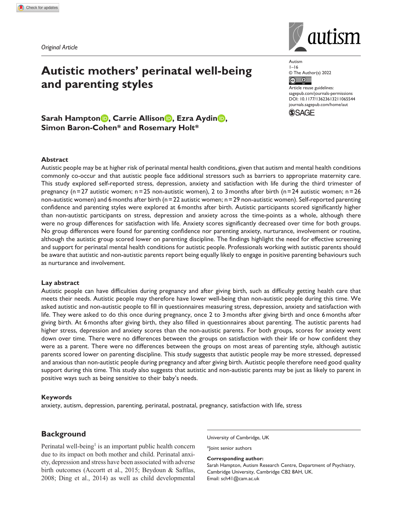*Original Article*

# **Autistic mothers' perinatal well-being and parenting styles**

Autism  $1 - 16$ © The Author(s) 2022  $\circ$   $\circ$ 

Article reuse guidelines: [sagepub.com/journals-permissions](https://uk.sagepub.com/en-gb/journals-permissions) DOI: 10.1177/13623613211065544 [journals.sagepub.com/home/aut](https://journals.sagepub.com/home/aut) **SAGE** 

# **Sarah Hampton<sup>D</sup>, Carrie Allison<sup>D</sup>, Ezra AydinD, Simon Baron-Cohen\* and Rosemary Holt\***

## **Abstract**

Autistic people may be at higher risk of perinatal mental health conditions, given that autism and mental health conditions commonly co-occur and that autistic people face additional stressors such as barriers to appropriate maternity care. This study explored self-reported stress, depression, anxiety and satisfaction with life during the third trimester of pregnancy (n=27 autistic women; n=25 non-autistic women), 2 to 3months after birth (n=24 autistic women; n=26 non-autistic women) and 6 months after birth (n=22 autistic women; n=29 non-autistic women). Self-reported parenting confidence and parenting styles were explored at 6months after birth. Autistic participants scored significantly higher than non-autistic participants on stress, depression and anxiety across the time-points as a whole, although there were no group differences for satisfaction with life. Anxiety scores significantly decreased over time for both groups. No group differences were found for parenting confidence nor parenting anxiety, nurturance, involvement or routine, although the autistic group scored lower on parenting discipline. The findings highlight the need for effective screening and support for perinatal mental health conditions for autistic people. Professionals working with autistic parents should be aware that autistic and non-autistic parents report being equally likely to engage in positive parenting behaviours such as nurturance and involvement.

#### **Lay abstract**

Autistic people can have difficulties during pregnancy and after giving birth, such as difficulty getting health care that meets their needs. Autistic people may therefore have lower well-being than non-autistic people during this time. We asked autistic and non-autistic people to fill in questionnaires measuring stress, depression, anxiety and satisfaction with life. They were asked to do this once during pregnancy, once 2 to 3months after giving birth and once 6months after giving birth. At 6months after giving birth, they also filled in questionnaires about parenting. The autistic parents had higher stress, depression and anxiety scores than the non-autistic parents. For both groups, scores for anxiety went down over time. There were no differences between the groups on satisfaction with their life or how confident they were as a parent. There were no differences between the groups on most areas of parenting style, although autistic parents scored lower on parenting discipline. This study suggests that autistic people may be more stressed, depressed and anxious than non-autistic people during pregnancy and after giving birth. Autistic people therefore need good quality support during this time. This study also suggests that autistic and non-autistic parents may be just as likely to parent in positive ways such as being sensitive to their baby's needs.

#### **Keywords**

anxiety, autism, depression, parenting, perinatal, postnatal, pregnancy, satisfaction with life, stress

# **Background**

Perinatal well-being<sup>1</sup> is an important public health concern due to its impact on both mother and child. Perinatal anxiety, depression and stress have been associated with adverse birth outcomes (Accortt et al., 2015; Beydoun & Saftlas, 2008; Ding et al., 2014) as well as child developmental

University of Cambridge, UK

\*Joint senior authors

**Corresponding author:**

Sarah Hampton, Autism Research Centre, Department of Psychiatry, Cambridge University, Cambridge CB2 8AH, UK. Email: [sch41@cam.ac.uk](mailto:sch41@cam.ac.uk)

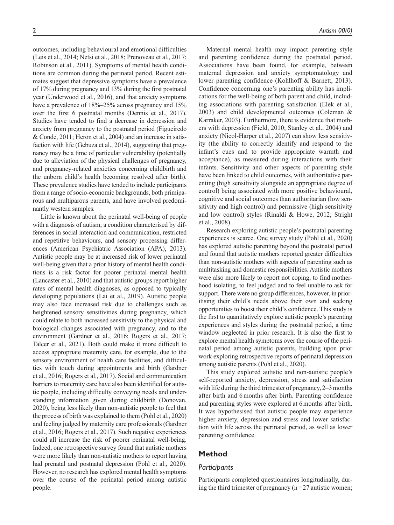outcomes, including behavioural and emotional difficulties (Leis et al., 2014; Netsi et al., 2018; Prenoveau et al., 2017; Robinson et al., 2011). Symptoms of mental health conditions are common during the perinatal period. Recent estimates suggest that depressive symptoms have a prevalence of 17% during pregnancy and 13% during the first postnatal year (Underwood et al., 2016), and that anxiety symptoms have a prevalence of  $18\% - 25\%$  across pregnancy and  $15\%$ over the first 6 postnatal months (Dennis et al., 2017). Studies have tended to find a decrease in depression and anxiety from pregnancy to the postnatal period (Figueiredo & Conde, 2011; Heron et al., 2004) and an increase in satisfaction with life (Gebuza et al., 2014), suggesting that pregnancy may be a time of particular vulnerability (potentially due to alleviation of the physical challenges of pregnancy, and pregnancy-related anxieties concerning childbirth and the unborn child's health becoming resolved after birth). These prevalence studies have tended to include participants from a range of socio-economic backgrounds, both primiparous and multiparous parents, and have involved predominantly western samples.

Little is known about the perinatal well-being of people with a diagnosis of autism, a condition characterised by differences in social interaction and communication, restricted and repetitive behaviours, and sensory processing differences (American Psychiatric Association (APA), 2013). Autistic people may be at increased risk of lower perinatal well-being given that a prior history of mental health conditions is a risk factor for poorer perinatal mental health (Lancaster et al., 2010) and that autistic groups report higher rates of mental health diagnoses, as opposed to typically developing populations (Lai et al., 2019). Autistic people may also face increased risk due to challenges such as heightened sensory sensitivities during pregnancy, which could relate to both increased sensitivity to the physical and biological changes associated with pregnancy, and to the environment (Gardner et al., 2016; Rogers et al., 2017; Talcer et al., 2021). Both could make it more difficult to access appropriate maternity care, for example, due to the sensory environment of health care facilities, and difficulties with touch during appointments and birth (Gardner et al., 2016; Rogers et al., 2017). Social and communication barriers to maternity care have also been identified for autistic people, including difficulty conveying needs and understanding information given during childbirth (Donovan, 2020), being less likely than non-autistic people to feel that the process of birth was explained to them (Pohl et al., 2020) and feeling judged by maternity care professionals (Gardner et al., 2016; Rogers et al., 2017). Such negative experiences could all increase the risk of poorer perinatal well-being. Indeed, one retrospective survey found that autistic mothers were more likely than non-autistic mothers to report having had prenatal and postnatal depression (Pohl et al., 2020). However, no research has explored mental health symptoms over the course of the perinatal period among autistic people.

Maternal mental health may impact parenting style and parenting confidence during the postnatal period. Associations have been found, for example, between maternal depression and anxiety symptomatology and lower parenting confidence (Kohlhoff & Barnett, 2013). Confidence concerning one's parenting ability has implications for the well-being of both parent and child, including associations with parenting satisfaction (Elek et al., 2003) and child developmental outcomes (Coleman & Karraker, 2003). Furthermore, there is evidence that mothers with depression (Field, 2010; Stanley et al., 2004) and anxiety (Nicol-Harper et al., 2007) can show less sensitivity (the ability to correctly identify and respond to the infant's cues and to provide appropriate warmth and acceptance), as measured during interactions with their infants. Sensitivity and other aspects of parenting style have been linked to child outcomes, with authoritative parenting (high sensitivity alongside an appropriate degree of control) being associated with more positive behavioural, cognitive and social outcomes than authoritarian (low sensitivity and high control) and permissive (high sensitivity and low control) styles (Rinaldi & Howe, 2012; Stright et al., 2008).

Research exploring autistic people's postnatal parenting experiences is scarce. One survey study (Pohl et al., 2020) has explored autistic parenting beyond the postnatal period and found that autistic mothers reported greater difficulties than non-autistic mothers with aspects of parenting such as multitasking and domestic responsibilities. Autistic mothers were also more likely to report not coping, to find motherhood isolating, to feel judged and to feel unable to ask for support. There were no group differences, however, in prioritising their child's needs above their own and seeking opportunities to boost their child's confidence. This study is the first to quantitatively explore autistic people's parenting experiences and styles during the postnatal period, a time window neglected in prior research. It is also the first to explore mental health symptoms over the course of the perinatal period among autistic parents, building upon prior work exploring retrospective reports of perinatal depression among autistic parents (Pohl et al., 2020).

This study explored autistic and non-autistic people's self-reported anxiety, depression, stress and satisfaction with life during the third trimester of pregnancy,  $2-3$  months after birth and 6months after birth. Parenting confidence and parenting styles were explored at 6months after birth. It was hypothesised that autistic people may experience higher anxiety, depression and stress and lower satisfaction with life across the perinatal period, as well as lower parenting confidence.

# **Method**

## *Participants*

Participants completed questionnaires longitudinally, during the third trimester of pregnancy  $(n=27)$  autistic women;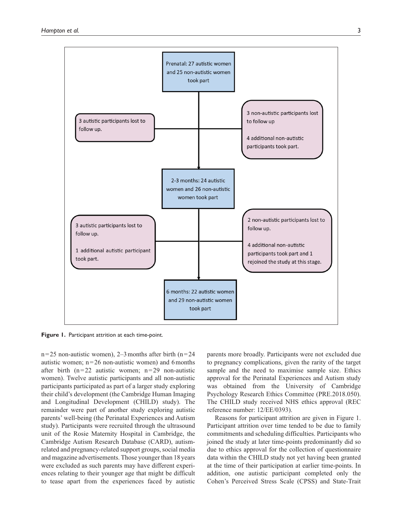

**Figure 1.** Participant attrition at each time-point.

 $n=25$  non-autistic women), 2–3 months after birth (n=24) autistic women;  $n=26$  non-autistic women) and 6 months after birth  $(n=22)$  autistic women;  $n=29$  non-autistic women). Twelve autistic participants and all non-autistic participants participated as part of a larger study exploring their child's development (the Cambridge Human Imaging and Longitudinal Development (CHILD) study). The remainder were part of another study exploring autistic parents' well-being (the Perinatal Experiences and Autism study). Participants were recruited through the ultrasound unit of the Rosie Maternity Hospital in Cambridge, the Cambridge Autism Research Database (CARD), autismrelated and pregnancy-related support groups, social media and magazine advertisements. Those younger than 18years were excluded as such parents may have different experiences relating to their younger age that might be difficult to tease apart from the experiences faced by autistic

parents more broadly. Participants were not excluded due to pregnancy complications, given the rarity of the target sample and the need to maximise sample size. Ethics approval for the Perinatal Experiences and Autism study was obtained from the University of Cambridge Psychology Research Ethics Committee (PRE.2018.050). The CHILD study received NHS ethics approval (REC reference number: 12/EE/0393).

Reasons for participant attrition are given in Figure 1. Participant attrition over time tended to be due to family commitments and scheduling difficulties. Participants who joined the study at later time-points predominantly did so due to ethics approval for the collection of questionnaire data within the CHILD study not yet having been granted at the time of their participation at earlier time-points. In addition, one autistic participant completed only the Cohen's Perceived Stress Scale (CPSS) and State-Trait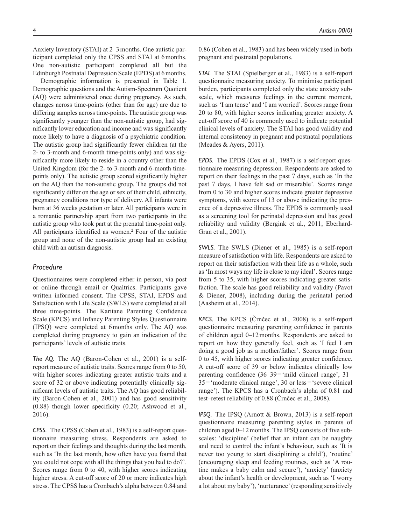Anxiety Inventory (STAI) at 2–3months. One autistic participant completed only the CPSS and STAI at 6months. One non-autistic participant completed all but the Edinburgh Postnatal Depression Scale (EPDS) at 6months.

Demographic information is presented in Table 1. Demographic questions and the Autism-Spectrum Quotient (AQ) were administered once during pregnancy. As such, changes across time-points (other than for age) are due to differing samples across time-points. The autistic group was significantly younger than the non-autistic group, had significantly lower education and income and was significantly more likely to have a diagnosis of a psychiatric condition. The autistic group had significantly fewer children (at the 2- to 3-month and 6-month time-points only) and was significantly more likely to reside in a country other than the United Kingdom (for the 2- to 3-month and 6-month timepoints only). The autistic group scored significantly higher on the AQ than the non-autistic group. The groups did not significantly differ on the age or sex of their child, ethnicity, pregnancy conditions nor type of delivery. All infants were born at 36 weeks gestation or later. All participants were in a romantic partnership apart from two participants in the autistic group who took part at the prenatal time-point only. All participants identified as women.<sup>2</sup> Four of the autistic group and none of the non-autistic group had an existing child with an autism diagnosis.

## *Procedure*

Questionnaires were completed either in person, via post or online through email or Qualtrics. Participants gave written informed consent. The CPSS, STAI, EPDS and Satisfaction with Life Scale (SWLS) were completed at all three time-points. The Karitane Parenting Confidence Scale (KPCS) and Infancy Parenting Styles Questionnaire (IPSQ) were completed at 6months only. The AQ was completed during pregnancy to gain an indication of the participants' levels of autistic traits.

*The AQ.* The AQ (Baron-Cohen et al., 2001) is a selfreport measure of autistic traits. Scores range from 0 to 50, with higher scores indicating greater autistic traits and a score of 32 or above indicating potentially clinically significant levels of autistic traits. The AQ has good reliability (Baron-Cohen et al., 2001) and has good sensitivity (0.88) though lower specificity (0.20; Ashwood et al., 2016).

*CPSS.* The CPSS (Cohen et al., 1983) is a self-report questionnaire measuring stress. Respondents are asked to report on their feelings and thoughts during the last month, such as 'In the last month, how often have you found that you could not cope with all the things that you had to do?'. Scores range from 0 to 40, with higher scores indicating higher stress. A cut-off score of 20 or more indicates high stress. The CPSS has a Cronbach's alpha between 0.84 and

0.86 (Cohen et al., 1983) and has been widely used in both pregnant and postnatal populations.

*STAI.* The STAI (Spielberger et al., 1983) is a self-report questionnaire measuring anxiety. To minimise participant burden, participants completed only the state anxiety subscale, which measures feelings in the current moment, such as 'I am tense' and 'I am worried'. Scores range from 20 to 80, with higher scores indicating greater anxiety. A cut-off score of 40 is commonly used to indicate potential clinical levels of anxiety. The STAI has good validity and internal consistency in pregnant and postnatal populations (Meades & Ayers, 2011).

*EPDS.* The EPDS (Cox et al., 1987) is a self-report questionnaire measuring depression. Respondents are asked to report on their feelings in the past 7 days, such as 'In the past 7 days, I have felt sad or miserable'. Scores range from 0 to 30 and higher scores indicate greater depressive symptoms, with scores of 13 or above indicating the presence of a depressive illness. The EPDS is commonly used as a screening tool for perinatal depression and has good reliability and validity (Bergink et al., 2011; Eberhard-Gran et al., 2001).

*SWLS.* The SWLS (Diener et al., 1985) is a self-report measure of satisfaction with life. Respondents are asked to report on their satisfaction with their life as a whole, such as 'In most ways my life is close to my ideal'. Scores range from 5 to 35, with higher scores indicating greater satisfaction. The scale has good reliability and validity (Pavot & Diener, 2008), including during the perinatal period (Aasheim et al., 2014).

*KPCS.* The KPCS (Črnčec et al., 2008) is a self-report questionnaire measuring parenting confidence in parents of children aged 0–12months. Respondents are asked to report on how they generally feel, such as 'I feel I am doing a good job as a mother/father'. Scores range from 0 to 45, with higher scores indicating greater confidence. A cut-off score of 39 or below indicates clinically low parenting confidence (36–39='mild clinical range', 31– 35='moderate clinical range', 30 or less='severe clinical range'). The KPCS has a Cronbach's alpha of 0.81 and test–retest reliability of 0.88 (Črnčec et al., 2008).

*IPSQ.* The IPSQ (Arnott & Brown, 2013) is a self-report questionnaire measuring parenting styles in parents of children aged 0–12months. The IPSQ consists of five subscales: 'discipline' (belief that an infant can be naughty and need to control the infant's behaviour, such as 'It is never too young to start disciplining a child'), 'routine' (encouraging sleep and feeding routines, such as 'A routine makes a baby calm and secure'), 'anxiety' (anxiety about the infant's health or development, such as 'I worry a lot about my baby'), 'nurturance' (responding sensitively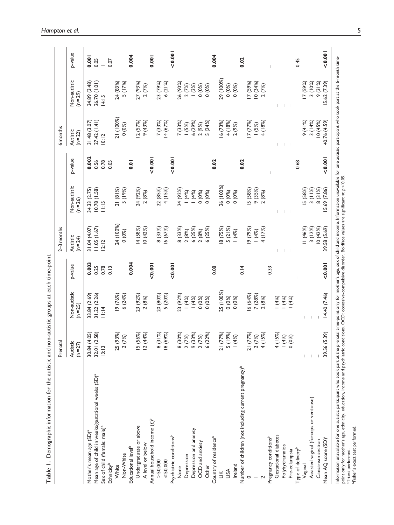|                                                                                           | Prenatal                                                    |                              |                       | $2-3$ months                |                              |                   | <b>6</b> months             |                              |               |
|-------------------------------------------------------------------------------------------|-------------------------------------------------------------|------------------------------|-----------------------|-----------------------------|------------------------------|-------------------|-----------------------------|------------------------------|---------------|
|                                                                                           | Autistic<br>$(n=27)$                                        | Non-autistic<br>$(n = 25)$   | p-value               | Autistic<br>$(n=24)$        | Non-autistic<br>$(n = 26)$   | p-value           | Autistic<br>$(n=22)$        | Non-autistic<br>$(n=29)$     | p-value       |
| Mean age of child in weeks/gestational weeks (SD) <sup>a</sup><br>Mother's mean age (SD)ª | (4.05)<br>(2.58)<br>30.84<br>32.01                          | 31.22 (2.26)<br>33.84 (2.69) | 0.003<br>0.25         | (1.05(1.67))<br>31.04(4.07) | 34.33 (2.75)<br>(0.78(1.58)) | 0.002<br>0.56     | 27.42(1.41)<br>31.48 (3.07) | 26.70 (1.01)<br>34.89 (3.48) | 0.001<br>0.05 |
| Sex of child (female: male) <sup>b</sup><br>Ethnicity <sup>b</sup>                        | 3: 3                                                        | 11:14                        | 0.78<br>$\frac{3}{2}$ | 2:12                        | 11:15                        | 0.78<br>0.05      | 10:12                       | 14:15                        | 0.07          |
| White                                                                                     | (93%)<br>25                                                 | (76%)                        |                       | 24 (100%)                   | 21 (81%)                     |                   | 21 (100%)                   | 24 (83%)                     |               |
| Non-White                                                                                 | (7%)<br>$\sim$                                              | 6(24%)                       |                       | 0(0%)                       | 5 (19%)                      |                   | 0(0%)                       | 5 (17%)                      |               |
| Educational level <sup>b</sup>                                                            |                                                             |                              | 0.004                 |                             |                              | $\overline{0}$ .0 |                             |                              | 0.004         |
| Undergraduate or above                                                                    | (56%)<br>$\overline{a}$ $\overline{a}$                      | 23 (92%)                     |                       | 4 (58%)                     | 24 (92%)                     |                   | 2(57%)                      | 27 (93%)                     |               |
| A level or below                                                                          | (44%                                                        | 2(8%)                        |                       | 10(42%)                     | 2(8%)                        |                   | 9 (43%)                     | 2(7%)                        |               |
| Annual household income (£) <sup>b</sup>                                                  |                                                             |                              | < 0.001               |                             |                              | < 0.001           |                             |                              | 0.001         |
| >50,000                                                                                   | (31%)<br>$\infty$                                           | 20 (80%)                     |                       | 8 (33%)                     | 22 (85%)                     |                   | 7 (33%)                     | 23 (79%)                     |               |
| $\leq 50,000$                                                                             | (69%)<br>$\frac{\infty}{2}$                                 | 5 (20%)                      |                       | 6(67%)                      | 4 (15%)                      |                   | 4(67%)                      | 6(21%)                       |               |
| Psychiatric conditions <sup>b</sup>                                                       |                                                             |                              | 0.001                 |                             |                              | 0.001             |                             |                              | < 0.001       |
| None                                                                                      | (30%)                                                       | 23 (92%)                     |                       | 8 (33%)                     | 24 (92%)                     |                   | 7 (33%)                     | 26 (90%)                     |               |
| Depression                                                                                |                                                             | (4%)                         |                       | 2(8%)                       | (4%)                         |                   |                             | 2(7%)                        |               |
| Depression and anxiety                                                                    | (33%)<br>8 (30%)<br>2 (7%)<br>9 (33%)<br>2 (22%)<br>6 (22%) | (4%                          |                       | 6 (25%)                     | (4%)                         |                   | $(5%)$<br>6 (29%)           | (3%)                         |               |
| OCD and anxiety                                                                           |                                                             | 0(0%)                        |                       | 2(8%)                       | 0(0%)                        |                   | 2(9%)                       | 0(0%)                        |               |
| Other                                                                                     | (22%)                                                       | 0(0%)                        |                       | 6(25%)                      | 0(0%)                        |                   | 5(24%)                      | 0(0%)                        |               |
| Country of residence <sup>b</sup>                                                         |                                                             |                              | 0.08                  |                             |                              | 0.02              |                             |                              | 0.004         |
| $\leq$                                                                                    | (77%)<br>$\overline{2}$                                     | 25 (100%)                    |                       | 18 (75%)                    | 26 (100%)                    |                   | 6(73%)                      | 29 (100%)                    |               |
| USA                                                                                       | (19%)<br>$\mathsf{L}\cap$                                   | 0(0%)                        |                       | 5(21%)                      | 0(0%)                        |                   | 4 (18%)                     | 0(0%)                        |               |
| Ireland                                                                                   | (4%)                                                        | 0(0%)                        |                       | (4%)                        | 0(0%)                        |                   | 2(9%)                       | 0(0%)                        |               |
| Number of children (not including current pregnancy) <sup>b</sup>                         |                                                             |                              | 0.14                  |                             |                              | 0.02              |                             |                              | 0.02          |
| 0                                                                                         | (77%)<br>$\overline{a}$                                     | 16(64%)                      |                       | 19 (79%)                    | 5 (58%)                      |                   | (77%)                       | 17 (59%)                     |               |
|                                                                                           | (7%)<br>$\sim$                                              | 7 (28%)                      |                       | (4%)                        | 9(35%)                       |                   | (5%)                        | 10(34%)                      |               |
|                                                                                           | (15%)<br>$\overline{\phantom{a}}$                           | 2(8%)                        |                       | 4 (17%)                     | 2(8%)                        |                   | (18%)                       | 2(7%)                        |               |
| Pregnancy conditions <sup>b</sup>                                                         |                                                             |                              | 0.33                  |                             |                              |                   |                             |                              |               |
| Gestational diabetes                                                                      | (15%)                                                       | (4%                          |                       |                             |                              |                   |                             |                              |               |
| Polyhydramnios                                                                            | (4%<br>$rac{1}{4}$ – $rac{1}{6}$                            | (4%)                         |                       |                             | J.                           |                   |                             |                              |               |
| Pre-eclampsia                                                                             | $(0\%)$                                                     | (4%)                         |                       |                             | $\overline{\phantom{0}}$     |                   |                             |                              |               |
| Type of delivery <sup>b</sup>                                                             |                                                             |                              |                       |                             |                              | 0.68              |                             |                              | 0.45          |
| Vaginal                                                                                   | Т                                                           |                              |                       | 11(46%)                     | 5 (58%)                      |                   | 9(41%)                      | 17 (59%)                     |               |
| Assisted vaginal (forceps or ventouse)                                                    | I                                                           |                              |                       | 3(12%)                      | 3(11%)                       |                   | 3(14%)                      | 3 (10%)                      |               |
| Caesarean section                                                                         |                                                             |                              |                       | 10(42%)                     | 8 (31%)                      |                   | 10(45%)                     | 9 (31%)                      |               |
| Mean AQ score (SD) <sup>a</sup>                                                           | (5.39)<br>39.56                                             | 14.40 (7.46)                 | < 0.001               | 39.58 (5.69)                | 15.69 (7.86)                 | 100000            | 40.76 (4.59)                | 15.62 (7.39)                 | < 0.001       |
|                                                                                           |                                                             |                              |                       |                             |                              |                   |                             |                              |               |

Table 1. Demographic information for the autistic and non-autistic groups at each time-point. **Table 1.** Demographic information for the autistic and non-autistic groups at each time-point.

Information unavailable for one autistic participant who took part at the prenatal time-point only for mother's age, sex of child and income. Information unavailable for one autistic participant who took part at the 6-mon nformation unavailable for one autistic participant who took part at the prenatal time-point only for mother's age, sex of child and income. Information unavailable for one autistic participant who took part at the 6-month point only for mother's age, ethnicity, education, income and psychiatric conditions. OCD: obsessive-compulsive disorder. Boldface values are significant at *p* < 0.05. aT-test performed.

bFisher's exact test performed.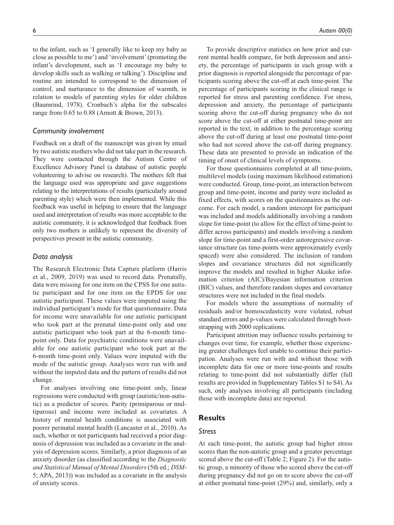to the infant, such as 'I generally like to keep my baby as close as possible to me') and 'involvement' (promoting the infant's development, such as 'I encourage my baby to develop skills such as walking or talking'). Discipline and routine are intended to correspond to the dimension of control, and nurturance to the dimension of warmth, in relation to models of parenting styles for older children (Baumrind, 1978). Cronbach's alpha for the subscales range from 0.65 to 0.88 (Arnott & Brown, 2013).

#### *Community involvement*

Feedback on a draft of the manuscript was given by email by two autistic mothers who did not take part in the research. They were contacted through the Autism Centre of Excellence Advisory Panel (a database of autistic people volunteering to advise on research). The mothers felt that the language used was appropriate and gave suggestions relating to the interpretations of results (particularly around parenting style) which were then implemented. While this feedback was useful in helping to ensure that the language used and interpretation of results was more acceptable to the autistic community, it is acknowledged that feedback from only two mothers is unlikely to represent the diversity of perspectives present in the autistic community.

#### *Data analysis*

The Research Electronic Data Capture platform (Harris et al., 2009, 2019) was used to record data. Prenatally, data were missing for one item on the CPSS for one autistic participant and for one item on the EPDS for one autistic participant. These values were imputed using the individual participant's mode for that questionnaire. Data for income were unavailable for one autistic participant who took part at the prenatal time-point only and one autistic participant who took part at the 6-month timepoint only. Data for psychiatric conditions were unavailable for one autistic participant who took part at the 6-month time-point only. Values were imputed with the mode of the autistic group. Analyses were run with and without the imputed data and the pattern of results did not change.

For analyses involving one time-point only, linear regressions were conducted with group (autistic/non-autistic) as a predictor of scores. Parity (primiparous or multiparous) and income were included as covariates. A history of mental health conditions is associated with poorer perinatal mental health (Lancaster et al., 2010). As such, whether or not participants had received a prior diagnosis of depression was included as a covariate in the analysis of depression scores. Similarly, a prior diagnosis of an anxiety disorder (as classified according to the *Diagnostic and Statistical Manual of Mental Disorders* (5th ed.; *DSM*-5; APA, 2013)) was included as a covariate in the analysis of anxiety scores.

To provide descriptive statistics on how prior and current mental health compare, for both depression and anxiety, the percentage of participants in each group with a prior diagnosis is reported alongside the percentage of participants scoring above the cut-off at each time-point. The percentage of participants scoring in the clinical range is reported for stress and parenting confidence. For stress, depression and anxiety, the percentage of participants scoring above the cut-off during pregnancy who do not score above the cut-off at either postnatal time-point are reported in the text, in addition to the percentage scoring above the cut-off during at least one postnatal time-point who had not scored above the cut-off during pregnancy. These data are presented to provide an indication of the timing of onset of clinical levels of symptoms.

For those questionnaires completed at all time-points, multilevel models (using maximum likelihood estimation) were conducted. Group, time-point, an interaction between group and time-point, income and parity were included as fixed effects, with scores on the questionnaires as the outcome. For each model, a random intercept for participant was included and models additionally involving a random slope for time-point (to allow for the effect of time-point to differ across participants) and models involving a random slope for time-point and a first-order autoregressive covariance structure (as time-points were approximately evenly spaced) were also considered. The inclusion of random slopes and covariance structures did not significantly improve the models and resulted in higher Akaike information criterion (AIC)/Bayesian information criterion (BIC) values, and therefore random slopes and covariance structures were not included in the final models.

For models where the assumptions of normality of residuals and/or homoscedasticity were violated, robust standard errors and p-values were calculated through bootstrapping with 2000 replications.

Participant attrition may influence results pertaining to changes over time, for example, whether those experiencing greater challenges feel unable to continue their participation. Analyses were run with and without those with incomplete data for one or more time-points and results relating to time-point did not substantially differ (full results are provided in Supplementary Tables S1 to S4). As such, only analyses involving all participants (including those with incomplete data) are reported.

## **Results**

#### *Stress*

At each time-point, the autistic group had higher stress scores than the non-autistic group and a greater percentage scored above the cut-off (Table 2; Figure 2). For the autistic group, a minority of those who scored above the cut-off during pregnancy did not go on to score above the cut-off at either postnatal time-point (29%) and, similarly, only a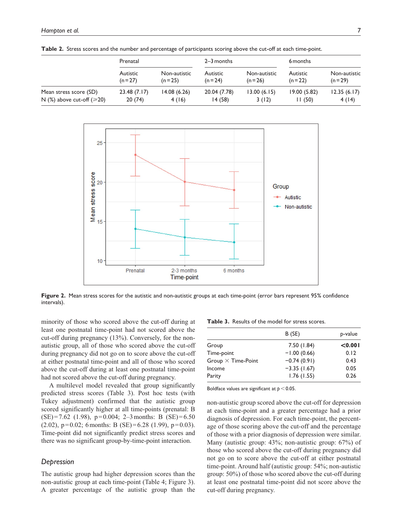|                                      | Prenatal             |                          | $2-3$ months           |                          | 6 months             |                          |
|--------------------------------------|----------------------|--------------------------|------------------------|--------------------------|----------------------|--------------------------|
|                                      | Autistic<br>$(n=27)$ | Non-autistic<br>$(n=25)$ | Autistic<br>$(n = 24)$ | Non-autistic<br>$(n=26)$ | Autistic<br>$(n=22)$ | Non-autistic<br>$(n=29)$ |
| Mean stress score (SD)               | 23.48(7.17)          | 14.08 (6.26)             | 20.04 (7.78)           | 13.00(6.15)              | 19.00(5.82)          | 12.35(6.17)              |
| N $(\%)$ above cut-off ( $\geq 20$ ) | 20(74)               | 4(16)                    | 14 (58)                | 3(12)                    | 11(50)               | 4(14)                    |

**Table 2.** Stress scores and the number and percentage of participants scoring above the cut-off at each time-point.



**Figure 2.** Mean stress scores for the autistic and non-autistic groups at each time-point (error bars represent 95% confidence intervals).

minority of those who scored above the cut-off during at least one postnatal time-point had not scored above the cut-off during pregnancy (13%). Conversely, for the nonautistic group, all of those who scored above the cut-off during pregnancy did not go on to score above the cut-off at either postnatal time-point and all of those who scored above the cut-off during at least one postnatal time-point had not scored above the cut-off during pregnancy.

A multilevel model revealed that group significantly predicted stress scores (Table 3). Post hoc tests (with Tukey adjustment) confirmed that the autistic group scored significantly higher at all time-points (prenatal: B  $(SE)=7.62$  (1.98),  $p=0.004$ ; 2-3 months: B  $(SE)=6.50$  $(2.02)$ ,  $p=0.02$ ; 6 months: B (SE)=6.28 (1.99),  $p=0.03$ ). Time-point did not significantly predict stress scores and there was no significant group-by-time-point interaction.

#### *Depression*

The autistic group had higher depression scores than the non-autistic group at each time-point (Table 4; Figure 3). A greater percentage of the autistic group than the

**Table 3.** Results of the model for stress scores.

|                           | B (SE)        | p-value |
|---------------------------|---------------|---------|
| Group                     | 7.50 (1.84)   | < 0.001 |
| Time-point                | $-1.00(0.66)$ | 0.12    |
| Group $\times$ Time-Point | $-0.74(0.91)$ | 0.43    |
| Income                    | $-3.35(1.67)$ | 0.05    |
| Parity                    | 1.76(1.55)    | 0.26    |
|                           |               |         |

Boldface values are significant at *p* < 0.05.

non-autistic group scored above the cut-off for depression at each time-point and a greater percentage had a prior diagnosis of depression. For each time-point, the percentage of those scoring above the cut-off and the percentage of those with a prior diagnosis of depression were similar. Many (autistic group: 43%; non-autistic group: 67%) of those who scored above the cut-off during pregnancy did not go on to score above the cut-off at either postnatal time-point. Around half (autistic group: 54%; non-autistic group: 50%) of those who scored above the cut-off during at least one postnatal time-point did not score above the cut-off during pregnancy.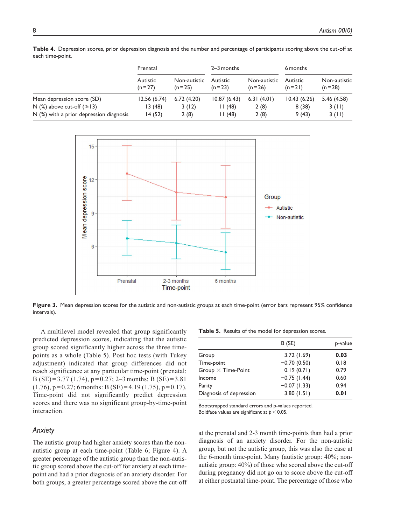Prenatal 2–3 months 6 months Autistic  $(n=27)$ Non-autistic  $(n=25)$ Autistic  $(n=23)$ Non-autistic  $(n=26)$ Autistic  $(n=21)$ Non-autistic  $(n=28)$ Mean depression score (SD) 12.56 (6.74) 6.72 (4.20) 10.87 (6.43) 6.31 (4.01) 10.43 (6.26) 5.46 (4.58)  $N$  (%) above cut-off ( $\ge$ 13) 13 (48) 3 (12) 11 (48) 2 (8) 8 (38) 3 (11) N (%) with a prior depression diagnosis 14 (52) 2 (8) 11 (48) 2 (8) 9 (43) 3 (11)





**Figure 3.** Mean depression scores for the autistic and non-autistic groups at each time-point (error bars represent 95% confidence intervals).

A multilevel model revealed that group significantly predicted depression scores, indicating that the autistic group scored significantly higher across the three timepoints as a whole (Table 5). Post hoc tests (with Tukey adjustment) indicated that group differences did not reach significance at any particular time-point (prenatal: B (SE) = 3.77 (1.74),  $p = 0.27$ ; 2–3 months: B (SE) = 3.81  $(1.76)$ ,  $p = 0.27$ ; 6 months: B (SE) = 4.19 (1.75),  $p = 0.17$ ). Time-point did not significantly predict depression scores and there was no significant group-by-time-point interaction.

## *Anxiety*

The autistic group had higher anxiety scores than the nonautistic group at each time-point (Table 6; Figure 4). A greater percentage of the autistic group than the non-autistic group scored above the cut-off for anxiety at each timepoint and had a prior diagnosis of an anxiety disorder. For both groups, a greater percentage scored above the cut-off

|  |  |  | Table 5. Results of the model for depression scores. |  |
|--|--|--|------------------------------------------------------|--|
|--|--|--|------------------------------------------------------|--|

|                           | B(SE)          | p-value |
|---------------------------|----------------|---------|
| Group                     | 3.72(1.69)     | 0.03    |
| Time-point                | $-0.70(0.50)$  | 0.18    |
| Group $\times$ Time-Point | 0.19(0.71)     | 0.79    |
| Income                    | $-0.75$ (1.44) | 0.60    |
| Parity                    | $-0.07(1.33)$  | 0.94    |
| Diagnosis of depression   | 3.80(1.51)     | 0.01    |

Bootstrapped standard errors and p-values reported. Boldface values are significant at *p* < 0.05.

at the prenatal and 2-3 month time-points than had a prior diagnosis of an anxiety disorder. For the non-autistic group, but not the autistic group, this was also the case at the 6-month time-point. Many (autistic group: 40%; nonautistic group: 40%) of those who scored above the cut-off during pregnancy did not go on to score above the cut-off at either postnatal time-point. The percentage of those who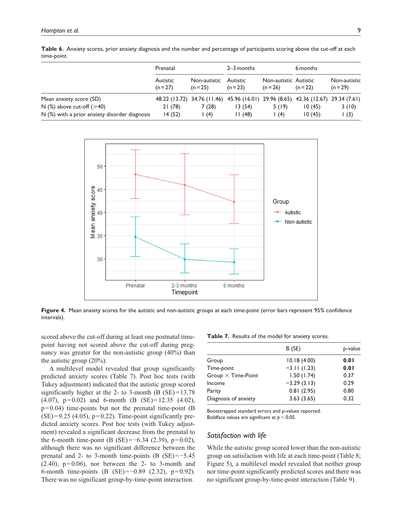|                                                               | Prenatal             |                                   | $2 - 3$ months                                                                              |                                   | 6 months |                          |
|---------------------------------------------------------------|----------------------|-----------------------------------|---------------------------------------------------------------------------------------------|-----------------------------------|----------|--------------------------|
|                                                               | Autistic<br>$(n=27)$ | Non-autistic Autistic<br>$(n=25)$ | $(n=23)$                                                                                    | Non-autistic Autistic<br>$(n=26)$ | $(n=22)$ | Non-autistic<br>$(n=29)$ |
| Mean anxiety score (SD)<br>N $(\%)$ above cut-off $(\geq 40)$ | 21(78)               | 7 (28)                            | 48.22 (13.72) 34.76 (11.46) 45.96 (16.01) 29.96 (8.65) 42.36 (12.67) 29.34 (7.61)<br>13(54) | 5 (19)                            | 10(45)   | 3(10)                    |

N  $(\%)$  with a prior anxiety disorder diagnosis  $14 (52)$  1  $(4)$  11  $(48)$  1  $(4)$  10  $(45)$  1  $(3)$ 

**Table 6.** Anxiety scores, prior anxiety diagnosis and the number and percentage of participants scoring above the cut-off at each time-point.



Figure 4. Mean anxiety scores for the autistic and non-autistic groups at each time-point (error bars represent 95% confidence intervals).

scored above the cut-off during at least one postnatal timepoint having not scored above the cut-off during pregnancy was greater for the non-autistic group (40%) than the autistic group (20%).

A multilevel model revealed that group significantly predicted anxiety scores (Table 7). Post hoc tests (with Tukey adjustment) indicated that the autistic group scored significantly higher at the 2- to 3-month (B  $(SE) = 13.78$ ) (4.07), p=0.02) and 6-month (B (SE)=12.35 (4.02),  $p=0.04$ ) time-points but not the prenatal time-point (B)  $(SE)=9.25$  (4.05),  $p=0.22$ ). Time-point significantly predicted anxiety scores. Post hoc tests (with Tukey adjustment) revealed a significant decrease from the prenatal to the 6-month time-point (B (SE)= $-6.34$  (2.39), p=0.02), although there was no significant difference between the prenatal and 2- to 3-month time-points (B  $(SE) = -5.45$  $(2.40)$ ,  $p=0.06$ ), nor between the 2- to 3-month and 6-month time-points (B (SE)=−0.89 (2.32), p=0.92). There was no significant group-by-time-point interaction.

**Table 7.** Results of the model for anxiety scores.

|                           | B (SE)        | p-value |
|---------------------------|---------------|---------|
| Group                     | 10.18(4.00)   | 0.01    |
| Time-point                | $-3.11(1.23)$ | 0.01    |
| Group $\times$ Time-Point | 1.50(1.74)    | 0.37    |
| Income                    | $-3.29(3.13)$ | 0.29    |
| Parity                    | 0.81(2.95)    | 0.80    |
| Diagnosis of anxiety      | 3.63(3.65)    | 0.32    |

Bootstrapped standard errors and p-values reported. Boldface values are significant at *p* < 0.05.

## *Satisfaction with life*

While the autistic group scored lower than the non-autistic group on satisfaction with life at each time-point (Table 8; Figure 5), a multilevel model revealed that neither group nor time-point significantly predicted scores and there was no significant group-by-time-point interaction (Table 9).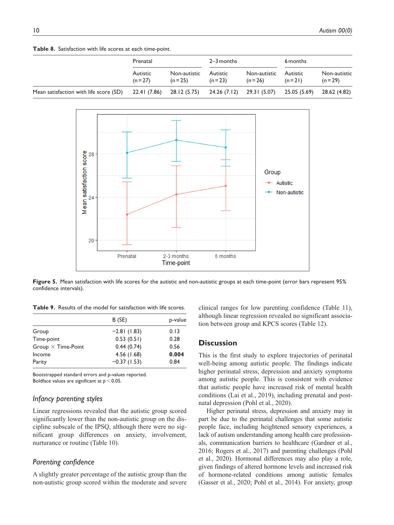**Table 8.** Satisfaction with life scores at each time-point.

|                                        | Prenatal                  |                          | 2–3 months                |                          | 6 months             |                          |
|----------------------------------------|---------------------------|--------------------------|---------------------------|--------------------------|----------------------|--------------------------|
|                                        | Autistic<br>$(n=27)$      | Non-autistic<br>$(n=25)$ | Autistic<br>$(n=23)$      | Non-autistic<br>$(n=26)$ | Autistic<br>$(n=21)$ | Non-autistic<br>$(n=29)$ |
| Mean satisfaction with life score (SD) | 22.41 (7.86) 28.12 (5.75) |                          | 24.26 (7.12) 29.31 (5.07) |                          | 25.05 (5.69)         | 28.62 (4.82)             |



**Figure 5.** Mean satisfaction with life scores for the autistic and non-autistic groups at each time-point (error bars represent 95% confidence intervals).

**Table 9.** Results of the model for satisfaction with life scores.

|                           | B (SE)        | p-value |
|---------------------------|---------------|---------|
| Group                     | $-2.81(1.83)$ | 0.13    |
| Time-point                | 0.53(0.51)    | 0.28    |
| Group $\times$ Time-Point | 0.44(0.74)    | 0.56    |
| Income                    | 4.56 (1.68)   | 0.004   |
| Parity                    | $-0.37(1.53)$ | 0.84    |

Bootstrapped standard errors and p-values reported. Boldface values are significant at *p* < 0.05.

## *Infancy parenting styles*

Linear regressions revealed that the autistic group scored significantly lower than the non-autistic group on the discipline subscale of the IPSQ, although there were no significant group differences on anxiety, involvement, nurturance or routine (Table 10).

## *Parenting confidence*

A slightly greater percentage of the autistic group than the non-autistic group scored within the moderate and severe

clinical ranges for low parenting confidence (Table 11), although linear regression revealed no significant association between group and KPCS scores (Table 12).

## **Discussion**

This is the first study to explore trajectories of perinatal well-being among autistic people. The findings indicate higher perinatal stress, depression and anxiety symptoms among autistic people. This is consistent with evidence that autistic people have increased risk of mental health conditions (Lai et al., 2019), including prenatal and postnatal depression (Pohl et al., 2020).

Higher perinatal stress, depression and anxiety may in part be due to the perinatal challenges that some autistic people face, including heightened sensory experiences, a lack of autism understanding among health care professionals, communication barriers to healthcare (Gardner et al., 2016; Rogers et al., 2017) and parenting challenges (Pohl et al., 2020). Hormonal differences may also play a role, given findings of altered hormone levels and increased risk of hormone-related conditions among autistic females (Gasser et al., 2020; Pohl et al., 2014). For anxiety, group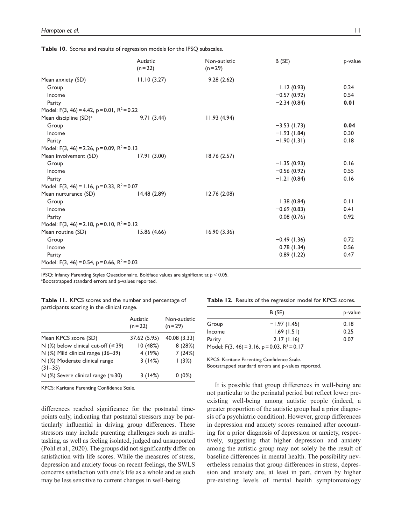**Table 10.** Scores and results of regression models for the IPSQ subscales.

|                                                         | Autistic    | Non-autistic | B(SE)         | p-value |
|---------------------------------------------------------|-------------|--------------|---------------|---------|
|                                                         | $(n=22)$    | $(n=29)$     |               |         |
| Mean anxiety (SD)                                       | 11.10(3.27) | 9.28(2.62)   |               |         |
| Group                                                   |             |              | 1.12(0.93)    | 0.24    |
| Income                                                  |             |              | $-0.57(0.92)$ | 0.54    |
| Parity                                                  |             |              | $-2.34(0.84)$ | 0.01    |
| Model: F(3, 46) = 4.42, p = 0.01, $R^2$ = 0.22          |             |              |               |         |
| Mean discipline (SD) <sup>a</sup>                       | 9.71(3.44)  | 11.93(4.94)  |               |         |
| Group                                                   |             |              | $-3.53(1.73)$ | 0.04    |
| Income                                                  |             |              | $-1.93(1.84)$ | 0.30    |
| Parity                                                  |             |              | $-1.90(1.31)$ | 0.18    |
| Model: F(3, 46) = 2.26, p = 0.09, R <sup>2</sup> = 0.13 |             |              |               |         |
| Mean involvement (SD)                                   | 17.91(3.00) | 18.76(2.57)  |               |         |
| Group                                                   |             |              | $-1.35(0.93)$ | 0.16    |
| Income                                                  |             |              | $-0.56(0.92)$ | 0.55    |
| Parity                                                  |             |              | $-1.21(0.84)$ | 0.16    |
| Model: F(3, 46) = 1.16, p = 0.33, $R^2$ = 0.07          |             |              |               |         |
| Mean nurturance (SD)                                    | 14.48(2.89) | 12.76(2.08)  |               |         |
| Group                                                   |             |              | 1.38(0.84)    | 0.11    |
| Income                                                  |             |              | $-0.69(0.83)$ | 0.41    |
| Parity                                                  |             |              | 0.08(0.76)    | 0.92    |
| Model: F(3, 46) = 2.18, p = 0.10, $R^2$ = 0.12          |             |              |               |         |
| Mean routine (SD)                                       | 15.86(4.66) | 16.90(3.36)  |               |         |
| Group                                                   |             |              | $-0.49(1.36)$ | 0.72    |
| Income                                                  |             |              | 0.78(1.34)    | 0.56    |
| Parity                                                  |             |              | 0.89(1.22)    | 0.47    |
| Model: F(3, 46) = 0.54, p = 0.66, $R^2$ = 0.03          |             |              |               |         |

IPSQ: Infancy Parenting Styles Questionnaire. Boldface values are significant at *p* < 0.05. <sup>a</sup>Bootstrapped standard errors and p-values reported.

| Table 11. KPCS scores and the number and percentage of |  |  |  |
|--------------------------------------------------------|--|--|--|
| participants scoring in the clinical range.            |  |  |  |

|                                               | Autistic<br>$(n=22)$ | Non-autistic<br>$(n=29)$ |
|-----------------------------------------------|----------------------|--------------------------|
| Mean KPCS score (SD)                          | 37.62 (5.95)         | 40.08 (3.33)             |
| N $(\%)$ below clinical cut-off ( $\leq 39$ ) | 10 (48%)             | 8 (28%)                  |
| N (%) Mild clinical range (36-39)             | 4 (19%)              | 7(24%)                   |
| N (%) Moderate clinical range<br>$(31 - 35)$  | 3(14%)               | (3%)                     |
| N $(\%)$ Severe clinical range ( $\leq 30$ )  | 3(14%)               | $0(0\%)$                 |

KPCS: Karitane Parenting Confidence Scale.

differences reached significance for the postnatal timepoints only, indicating that postnatal stressors may be particularly influential in driving group differences. These stressors may include parenting challenges such as multitasking, as well as feeling isolated, judged and unsupported (Pohl et al., 2020). The groups did not significantly differ on satisfaction with life scores. While the measures of stress, depression and anxiety focus on recent feelings, the SWLS concerns satisfaction with one's life as a whole and as such may be less sensitive to current changes in well-being.

|  |  |  | Table 12. Results of the regression model for KPCS scores. |  |  |  |  |
|--|--|--|------------------------------------------------------------|--|--|--|--|
|--|--|--|------------------------------------------------------------|--|--|--|--|

|        | B (SE)                                         | p-value |
|--------|------------------------------------------------|---------|
|        |                                                |         |
| Group  | $-1.97(1.45)$                                  | 0.18    |
| Income | 1.69(1.51)                                     | 0.25    |
| Parity | 2.17(1.16)                                     | 0.07    |
|        | Model: F(3, 46) = 3.16, p = 0.03, $R^2$ = 0.17 |         |

KPCS: Karitane Parenting Confidence Scale.

Bootstrapped standard errors and p-values reported.

It is possible that group differences in well-being are not particular to the perinatal period but reflect lower preexisting well-being among autistic people (indeed, a greater proportion of the autistic group had a prior diagnosis of a psychiatric condition). However, group differences in depression and anxiety scores remained after accounting for a prior diagnosis of depression or anxiety, respectively, suggesting that higher depression and anxiety among the autistic group may not solely be the result of baseline differences in mental health. The possibility nevertheless remains that group differences in stress, depression and anxiety are, at least in part, driven by higher pre-existing levels of mental health symptomatology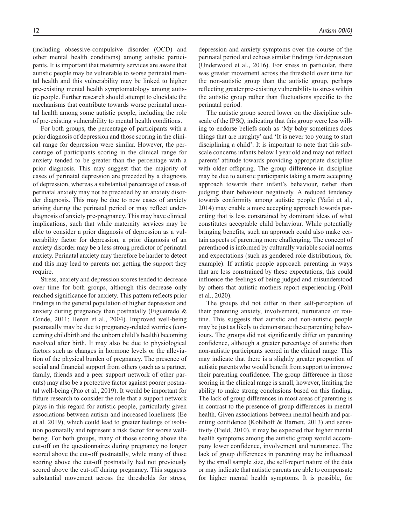(including obsessive-compulsive disorder (OCD) and other mental health conditions) among autistic participants. It is important that maternity services are aware that autistic people may be vulnerable to worse perinatal mental health and this vulnerability may be linked to higher pre-existing mental health symptomatology among autistic people. Further research should attempt to elucidate the mechanisms that contribute towards worse perinatal mental health among some autistic people, including the role of pre-existing vulnerability to mental health conditions.

For both groups, the percentage of participants with a prior diagnosis of depression and those scoring in the clinical range for depression were similar. However, the percentage of participants scoring in the clinical range for anxiety tended to be greater than the percentage with a prior diagnosis. This may suggest that the majority of cases of perinatal depression are preceded by a diagnosis of depression, whereas a substantial percentage of cases of perinatal anxiety may not be preceded by an anxiety disorder diagnosis. This may be due to new cases of anxiety arising during the perinatal period or may reflect underdiagnosis of anxiety pre-pregnancy. This may have clinical implications, such that while maternity services may be able to consider a prior diagnosis of depression as a vulnerability factor for depression, a prior diagnosis of an anxiety disorder may be a less strong predictor of perinatal anxiety. Perinatal anxiety may therefore be harder to detect and this may lead to parents not getting the support they require.

Stress, anxiety and depression scores tended to decrease over time for both groups, although this decrease only reached significance for anxiety. This pattern reflects prior findings in the general population of higher depression and anxiety during pregnancy than postnatally (Figueiredo & Conde, 2011; Heron et al., 2004). Improved well-being postnatally may be due to pregnancy-related worries (concerning childbirth and the unborn child's health) becoming resolved after birth. It may also be due to physiological factors such as changes in hormone levels or the alleviation of the physical burden of pregnancy. The presence of social and financial support from others (such as a partner, family, friends and a peer support network of other parents) may also be a protective factor against poorer postnatal well-being (Pao et al., 2019). It would be important for future research to consider the role that a support network plays in this regard for autistic people, particularly given associations between autism and increased loneliness (Ee et al. 2019), which could lead to greater feelings of isolation postnatally and represent a risk factor for worse wellbeing. For both groups, many of those scoring above the cut-off on the questionnaires during pregnancy no longer scored above the cut-off postnatally, while many of those scoring above the cut-off postnatally had not previously scored above the cut-off during pregnancy. This suggests substantial movement across the thresholds for stress,

depression and anxiety symptoms over the course of the perinatal period and echoes similar findings for depression (Underwood et al., 2016). For stress in particular, there was greater movement across the threshold over time for the non-autistic group than the autistic group, perhaps reflecting greater pre-existing vulnerability to stress within the autistic group rather than fluctuations specific to the perinatal period.

The autistic group scored lower on the discipline subscale of the IPSQ, indicating that this group were less willing to endorse beliefs such as 'My baby sometimes does things that are naughty' and 'It is never too young to start disciplining a child'. It is important to note that this subscale concerns infants below 1year old and may not reflect parents' attitude towards providing appropriate discipline with older offspring. The group difference in discipline may be due to autistic participants taking a more accepting approach towards their infant's behaviour, rather than judging their behaviour negatively. A reduced tendency towards conformity among autistic people (Yafai et al., 2014) may enable a more accepting approach towards parenting that is less constrained by dominant ideas of what constitutes acceptable child behaviour. While potentially bringing benefits, such an approach could also make certain aspects of parenting more challenging. The concept of parenthood is informed by culturally variable social norms and expectations (such as gendered role distributions, for example). If autistic people approach parenting in ways that are less constrained by these expectations, this could influence the feelings of being judged and misunderstood by others that autistic mothers report experiencing (Pohl et al., 2020).

The groups did not differ in their self-perception of their parenting anxiety, involvement, nurturance or routine. This suggests that autistic and non-autistic people may be just as likely to demonstrate these parenting behaviours. The groups did not significantly differ on parenting confidence, although a greater percentage of autistic than non-autistic participants scored in the clinical range. This may indicate that there is a slightly greater proportion of autistic parents who would benefit from support to improve their parenting confidence. The group difference in those scoring in the clinical range is small, however, limiting the ability to make strong conclusions based on this finding. The lack of group differences in most areas of parenting is in contrast to the presence of group differences in mental health. Given associations between mental health and parenting confidence (Kohlhoff & Barnett, 2013) and sensitivity (Field, 2010), it may be expected that higher mental health symptoms among the autistic group would accompany lower confidence, involvement and nurturance. The lack of group differences in parenting may be influenced by the small sample size, the self-report nature of the data or may indicate that autistic parents are able to compensate for higher mental health symptoms. It is possible, for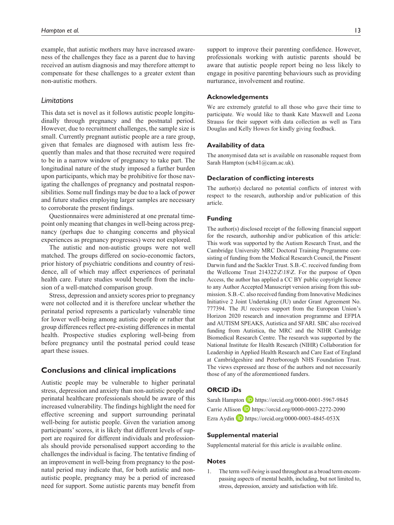example, that autistic mothers may have increased awareness of the challenges they face as a parent due to having received an autism diagnosis and may therefore attempt to compensate for these challenges to a greater extent than non-autistic mothers.

## *Limitations*

This data set is novel as it follows autistic people longitudinally through pregnancy and the postnatal period. However, due to recruitment challenges, the sample size is small. Currently pregnant autistic people are a rare group, given that females are diagnosed with autism less frequently than males and that those recruited were required to be in a narrow window of pregnancy to take part. The longitudinal nature of the study imposed a further burden upon participants, which may be prohibitive for those navigating the challenges of pregnancy and postnatal responsibilities. Some null findings may be due to a lack of power and future studies employing larger samples are necessary to corroborate the present findings.

Questionnaires were administered at one prenatal timepoint only meaning that changes in well-being across pregnancy (perhaps due to changing concerns and physical experiences as pregnancy progresses) were not explored.

The autistic and non-autistic groups were not well matched. The groups differed on socio-economic factors, prior history of psychiatric conditions and country of residence, all of which may affect experiences of perinatal health care. Future studies would benefit from the inclusion of a well-matched comparison group.

Stress, depression and anxiety scores prior to pregnancy were not collected and it is therefore unclear whether the perinatal period represents a particularly vulnerable time for lower well-being among autistic people or rather that group differences reflect pre-existing differences in mental health. Prospective studies exploring well-being from before pregnancy until the postnatal period could tease apart these issues.

## **Conclusions and clinical implications**

Autistic people may be vulnerable to higher perinatal stress, depression and anxiety than non-autistic people and perinatal healthcare professionals should be aware of this increased vulnerability. The findings highlight the need for effective screening and support surrounding perinatal well-being for autistic people. Given the variation among participants' scores, it is likely that different levels of support are required for different individuals and professionals should provide personalised support according to the challenges the individual is facing. The tentative finding of an improvement in well-being from pregnancy to the postnatal period may indicate that, for both autistic and nonautistic people, pregnancy may be a period of increased need for support. Some autistic parents may benefit from support to improve their parenting confidence. However, professionals working with autistic parents should be aware that autistic people report being no less likely to engage in positive parenting behaviours such as providing nurturance, involvement and routine.

## **Acknowledgements**

We are extremely grateful to all those who gave their time to participate. We would like to thank Kate Maxwell and Leona Strauss for their support with data collection as well as Tara Douglas and Kelly Howes for kindly giving feedback.

### **Availability of data**

The anonymised data set is available on reasonable request from Sarah Hampton ([sch41@cam.ac.uk](mailto:sch41@cam.ac.uk)).

## **Declaration of conflicting interests**

The author(s) declared no potential conflicts of interest with respect to the research, authorship and/or publication of this article.

## **Funding**

The author(s) disclosed receipt of the following financial support for the research, authorship and/or publication of this article: This work was supported by the Autism Research Trust, and the Cambridge University MRC Doctoral Training Programme consisting of funding from the Medical Research Council, the Pinsent Darwin fund and the Sackler Trust. S.B.-C. received funding from the Wellcome Trust 214322\Z\18\Z. For the purpose of Open Access, the author has applied a CC BY public copyright licence to any Author Accepted Manuscript version arising from this submission. S.B.-C. also received funding from Innovative Medicines Initiative 2 Joint Undertaking (JU) under Grant Agreement No. 777394. The JU receives support from the European Union's Horizon 2020 research and innovation programme and EFPIA and AUTISM SPEAKS, Autistica and SFARI. SBC also received funding from Autistica, the MRC and the NIHR Cambridge Biomedical Research Centre. The research was supported by the National Institute for Health Research (NIHR) Collaboration for Leadership in Applied Health Research and Care East of England at Cambridgeshire and Peterborough NHS Foundation Trust. The views expressed are those of the authors and not necessarily those of any of the aforementioned funders.

#### **ORCID iDs**

Sarah Hampton D <https://orcid.org/0000-0001-5967-9845> Carrie Allison **D** <https://orcid.org/0000-0003-2272-2090> Ezra Aydin  $\Box$  <https://orcid.org/0000-0003-4845-053X>

#### **Supplemental material**

Supplemental material for this article is available online.

#### **Notes**

1. The term *well-being* is used throughout as a broad term encompassing aspects of mental health, including, but not limited to, stress, depression, anxiety and satisfaction with life.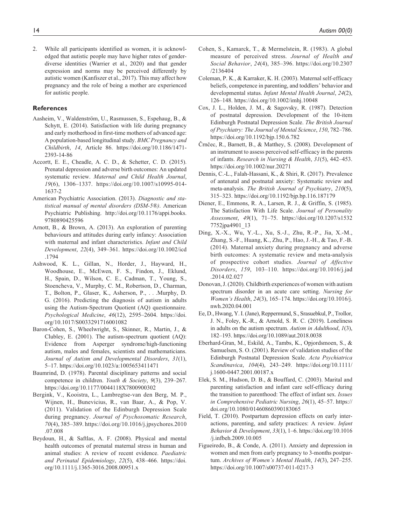2. While all participants identified as women, it is acknowledged that autistic people may have higher rates of genderdiverse identities (Warrier et al., 2020) and that gender expression and norms may be perceived differently by autistic women (Kanfiszer et al., 2017). This may affect how pregnancy and the role of being a mother are experienced for autistic people.

## **References**

- Aasheim, V., Waldenström, U., Rasmussen, S., Espehaug, B., & Schytt, E. (2014). Satisfaction with life during pregnancy and early motherhood in first-time mothers of advanced age: A population-based longitudinal study. *BMC Pregnancy and Childbirth*, *14*, Article 86. [https://doi.org/10.1186/1471-](https://doi.org/10.1186/1471-2393-14-86) [2393-14-86](https://doi.org/10.1186/1471-2393-14-86)
- Accortt, E. E., Cheadle, A. C. D., & Schetter, C. D. (2015). Prenatal depression and adverse birth outcomes: An updated systematic review. *Maternal and Child Health Journal*, *19*(6), 1306–1337. [https://doi.org/10.1007/s10995-014-](https://doi.org/10.1007/s10995-014-1637-2) [1637-2](https://doi.org/10.1007/s10995-014-1637-2)
- American Psychiatric Association. (2013). *Diagnostic and statistical manual of mental disorders (DSM-5®)*. American Psychiatric Publishing. [http://doi.org/10.1176/appi.books.](http://doi.org/10.1176/appi.books.9780890425596) [9780890425596](http://doi.org/10.1176/appi.books.9780890425596)
- Arnott, B., & Brown, A. (2013). An exploration of parenting behaviours and attitudes during early infancy: Association with maternal and infant characteristics. *Infant and Child Development*, *22*(4), 349–361. [https://doi.org/10.1002/icd](https://doi.org/10.1002/icd.1794) [.1794](https://doi.org/10.1002/icd.1794)
- Ashwood, K. L., Gillan, N., Horder, J., Hayward, H., Woodhouse, E., McEwen, F. S., Findon, J., Eklund, H., Spain, D., Wilson, C. E., Cadman, T., Young, S., Stoencheva, V., Murphy, C. M., Robertson, D., Charman, T., Bolton, P., Glaser, K., Asherson, P., . . .Murphy, D. G. (2016). Predicting the diagnosis of autism in adults using the Autism-Spectrum Quotient (AQ) questionnaire. *Psychological Medicine*, *46*(12), 2595–2604. [https://doi.](https://doi.org/10.1017/S0033291716001082) [org/10.1017/S0033291716001082](https://doi.org/10.1017/S0033291716001082)
- Baron-Cohen, S., Wheelwright, S., Skinner, R., Martin, J., & Clubley, E. (2001). The autism-spectrum quotient (AQ): Evidence from Asperger syndrome/high-functioning autism, males and females, scientists and mathematicians. *Journal of Autism and Developmental Disorders*, *31*(1), 5–17.<https://doi.org/10.1023/a:1005653411471>
- Baumrind, D. (1978). Parental disciplinary patterns and social competence in children. *Youth & Society*, *9*(3), 239–267. <https://doi.org/10.1177/0044118X7800900302>
- Bergink, V., Kooistra, L., Lambregtse-van den Berg, M. P., Wijnen, H., Bunevicius, R., van Baar, A., & Pop, V. (2011). Validation of the Edinburgh Depression Scale during pregnancy. *Journal of Psychosomatic Research*, *70*(4), 385–389. [https://doi.org/10.1016/j.jpsychores.2010](https://doi.org/10.1016/j.jpsychores.2010.07.008) [.07.008](https://doi.org/10.1016/j.jpsychores.2010.07.008)
- Beydoun, H., & Saftlas, A. F. (2008). Physical and mental health outcomes of prenatal maternal stress in human and animal studies: A review of recent evidence. *Paediatric and Perinatal Epidemiology*, *22*(5), 438–466. [https://doi.](https://doi.org/10.1111/j.1365-3016.2008.00951.x) [org/10.1111/j.1365-3016.2008.00951.x](https://doi.org/10.1111/j.1365-3016.2008.00951.x)
- Cohen, S., Kamarck, T., & Mermelstein, R. (1983). A global measure of perceived stress. *Journal of Health and Social Behavior*, *24*(4), 385–396. [https://doi.org/10.2307](https://doi.org/10.2307/2136404) [/2136404](https://doi.org/10.2307/2136404)
- Coleman, P. K., & Karraker, K. H. (2003). Maternal self-efficacy beliefs, competence in parenting, and toddlers' behavior and developmental status. *Infant Mental Health Journal*, *24*(2), 126–148.<https://doi.org/10.1002/imhj.10048>
- Cox, J. L., Holden, J. M., & Sagovsky, R. (1987). Detection of postnatal depression. Development of the 10-item Edinburgh Postnatal Depression Scale. *The British Journal of Psychiatry: The Journal of Mental Science*, *150*, 782–786. <https://doi.org/10.1192/bjp.150.6.782>
- Črnčec, R., Barnett, B., & Matthey, S. (2008). Development of an instrument to assess perceived self-efficacy in the parents of infants. *Research in Nursing & Health*, *31*(5), 442–453. <https://doi.org/10.1002/nur.20271>
- Dennis, C.-L., Falah-Hassani, K., & Shiri, R. (2017). Prevalence of antenatal and postnatal anxiety: Systematic review and meta-analysis. *The British Journal of Psychiatry*, *210*(5), 315–323.<https://doi.org/10.1192/bjp.bp.116.187179>
- Diener, E., Emmons, R. A., Larsen, R. J., & Griffin, S. (1985). The Satisfaction With Life Scale. *Journal of Personality Assessment*, *49*(1), 71–75. [https://doi.org/10.1207/s1532](https://doi.org/10.1207/s15327752jpa4901_13) [7752jpa4901\\_13](https://doi.org/10.1207/s15327752jpa4901_13)
- Ding, X.-X., Wu, Y.-L., Xu, S.-J., Zhu, R.-P., Jia, X.-M., Zhang, S.-F., Huang, K., Zhu, P., Hao, J.-H., & Tao, F.-B. (2014). Maternal anxiety during pregnancy and adverse birth outcomes: A systematic review and meta-analysis of prospective cohort studies. *Journal of Affective Disorders*, *159*, 103–110. [https://doi.org/10.1016/j.jad](https://doi.org/10.1016/j.jad.2014.02.027) [.2014.02.027](https://doi.org/10.1016/j.jad.2014.02.027)
- Donovan, J. (2020). Childbirth experiences of women with autism spectrum disorder in an acute care setting. *Nursing for Women's Health*, *24*(3), 165–174. [https://doi.org/10.1016/j.](https://doi.org/10.1016/j.nwh.2020.04.001) [nwh.2020.04.001](https://doi.org/10.1016/j.nwh.2020.04.001)
- Ee, D., Hwang, Y. I. (Jane), Reppermund, S., Srasuebkul, P., Trollor, J. N., Foley, K.-R., & Arnold, S. R. C. (2019). Loneliness in adults on the autism spectrum. *Autism in Adulthood*, *1*(3), 182–193.<https://doi.org/10.1089/aut.2018.0038>
- Eberhard-Gran, M., Eskild, A., Tambs, K., Opjordsmoen, S., & Samuelsen, S. O. (2001). Review of validation studies of the Edinburgh Postnatal Depression Scale. *Acta Psychiatrica Scandinavica*, *104*(4), 243–249. [https://doi.org/10.1111/](https://doi.org/10.1111/j.1600-0447.2001.00187.x) [j.1600-0447.2001.00187.x](https://doi.org/10.1111/j.1600-0447.2001.00187.x)
- Elek, S. M., Hudson, D. B., & Bouffard, C. (2003). Marital and parenting satisfaction and infant care self-efficacy during the transition to parenthood: The effect of infant sex. *Issues in Comprehensive Pediatric Nursing*, *26*(1), 45–57. [https://](https://doi.org/10.1080/01460860390183065) [doi.org/10.1080/01460860390183065](https://doi.org/10.1080/01460860390183065)
- Field, T. (2010). Postpartum depression effects on early interactions, parenting, and safety practices: A review. *Infant Behavior & Development*, *33*(1), 1–6. [https://doi.org/10.1016](https://doi.org/10.1016/j.infbeh.2009.10.005) [/j.infbeh.2009.10.005](https://doi.org/10.1016/j.infbeh.2009.10.005)
- Figueiredo, B., & Conde, A. (2011). Anxiety and depression in women and men from early pregnancy to 3-months postpartum. *Archives of Women's Mental Health*, *14*(3), 247–255. <https://doi.org/10.1007/s00737-011-0217-3>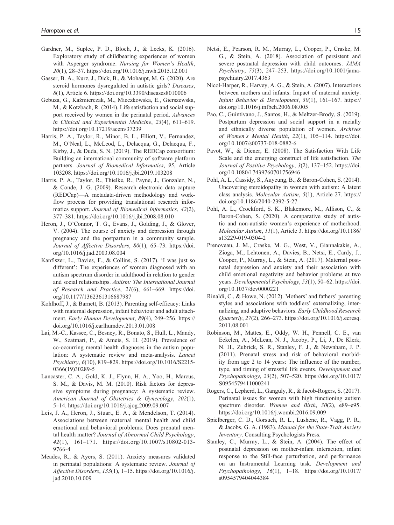- Gardner, M., Suplee, P. D., Bloch, J., & Lecks, K. (2016). Exploratory study of childbearing experiences of women with Asperger syndrome. *Nursing for Women's Health*, *20*(1), 28–37.<https://doi.org/10.1016/j.nwh.2015.12.001>
- Gasser, B. A., Kurz, J., Dick, B., & Mohaupt, M. G. (2020). Are steroid hormones dysregulated in autistic girls? *Diseases*, *8*(1), Article 6.<https://doi.org/10.3390/diseases8010006>
- Gebuza, G., Kaźmierczak, M., Mieczkowska, E., Gierszewska, M., & Kotzbach, R. (2014). Life satisfaction and social support received by women in the perinatal period. *Advances in Clinical and Experimental Medicine*, *23*(4), 611–619. <https://doi.org/10.17219/acem/37239>
- Harris, P. A., Taylor, R., Minor, B. L., Elliott, V., Fernandez, M., O'Neal, L., McLeod, L., Delacqua, G., Delacqua, F., Kirby, J., & Duda, S. N. (2019). The REDCap consortium: Building an international community of software platform partners. *Journal of Biomedical Informatics*, *95*, Article 103208. <https://doi.org/10.1016/j.jbi.2019.103208>
- Harris, P. A., Taylor, R., Thielke, R., Payne, J., Gonzalez, N., & Conde, J. G. (2009). Research electronic data capture (REDCap)—A metadata-driven methodology and workflow process for providing translational research informatics support. *Journal of Biomedical Informatics*, *42*(2), 377–381.<https://doi.org/10.1016/j.jbi.2008.08.010>
- Heron, J., O'Connor, T. G., Evans, J., Golding, J., & Glover, V. (2004). The course of anxiety and depression through pregnancy and the postpartum in a community sample. *Journal of Affective Disorders*, *80*(1), 65–73. [https://doi.](https://doi.org/10.1016/j.jad.2003.08.004) [org/10.1016/j.jad.2003.08.004](https://doi.org/10.1016/j.jad.2003.08.004)
- Kanfiszer, L., Davies, F., & Collins, S. (2017). 'I was just so different': The experiences of women diagnosed with an autism spectrum disorder in adulthood in relation to gender and social relationships. *Autism: The International Journal of Research and Practice*, *21*(6), 661–669. [https://doi.](https://doi.org/10.1177/1362361316687987) [org/10.1177/1362361316687987](https://doi.org/10.1177/1362361316687987)
- Kohlhoff, J., & Barnett, B. (2013). Parenting self-efficacy: Links with maternal depression, infant behaviour and adult attachment. *Early Human Development*, *89*(4), 249–256. [https://](https://doi.org/10.1016/j.earlhumdev.2013.01.008) [doi.org/10.1016/j.earlhumdev.2013.01.008](https://doi.org/10.1016/j.earlhumdev.2013.01.008)
- Lai, M.-C., Kassee, C., Besney, R., Bonato, S., Hull, L., Mandy, W., Szatmari, P., & Ameis, S. H. (2019). Prevalence of co-occurring mental health diagnoses in the autism population: A systematic review and meta-analysis. *Lancet Psychiatry*, *6*(10), 819–829. [https://doi.org/10.1016/S2215-](https://doi.org/10.1016/S2215-0366(19)30289-5) [0366\(19\)30289-5](https://doi.org/10.1016/S2215-0366(19)30289-5)
- Lancaster, C. A., Gold, K. J., Flynn, H. A., Yoo, H., Marcus, S. M., & Davis, M. M. (2010). Risk factors for depressive symptoms during pregnancy: A systematic review. *American Journal of Obstetrics & Gynecology*, *202*(1), 5–14. <https://doi.org/10.1016/j.ajog.2009.09.007>
- Leis, J. A., Heron, J., Stuart, E. A., & Mendelson, T. (2014). Associations between maternal mental health and child emotional and behavioral problems: Does prenatal mental health matter? *Journal of Abnormal Child Psychology*, *42*(1), 161–171. [https://doi.org/10.1007/s10802-013-](https://doi.org/10.1007/s10802-013-9766-4) [9766-4](https://doi.org/10.1007/s10802-013-9766-4)
- Meades, R., & Ayers, S. (2011). Anxiety measures validated in perinatal populations: A systematic review. *Journal of Affective Disorders*, *133*(1), 1–15. [https://doi.org/10.1016/j.](https://doi.org/10.1016/j.jad.2010.10.009) [jad.2010.10.009](https://doi.org/10.1016/j.jad.2010.10.009)
- Netsi, E., Pearson, R. M., Murray, L., Cooper, P., Craske, M. G., & Stein, A. (2018). Association of persistent and severe postnatal depression with child outcomes. *JAMA Psychiatry*, *75*(3), 247–253. [https://doi.org/10.1001/jama](https://doi.org/10.1001/jamapsychiatry.2017.4363)[psychiatry.2017.4363](https://doi.org/10.1001/jamapsychiatry.2017.4363)
- Nicol-Harper, R., Harvey, A. G., & Stein, A. (2007). Interactions between mothers and infants: Impact of maternal anxiety. *Infant Behavior & Development*, *30*(1), 161–167. [https://](https://doi.org/10.1016/j.infbeh.2006.08.005) [doi.org/10.1016/j.infbeh.2006.08.005](https://doi.org/10.1016/j.infbeh.2006.08.005)
- Pao, C., Guintivano, J., Santos, H., & Meltzer-Brody, S. (2019). Postpartum depression and social support in a racially and ethnically diverse population of women. *Archives of Women's Mental Health*, *22*(1), 105–114. [https://doi.](https://doi.org/10.1007/s00737-018-0882-6) [org/10.1007/s00737-018-0882-6](https://doi.org/10.1007/s00737-018-0882-6)
- Pavot, W., & Diener, E. (2008). The Satisfaction With Life Scale and the emerging construct of life satisfaction. *The Journal of Positive Psychology*, *3*(2), 137–152. [https://doi.](https://doi.org/10.1080/17439760701756946) [org/10.1080/17439760701756946](https://doi.org/10.1080/17439760701756946)
- Pohl, A. L., Cassidy, S., Auyeung, B., & Baron-Cohen, S. (2014). Uncovering steroidopathy in women with autism: A latent class analysis. *Molecular Autism*, *5*(1), Article 27. [https://](https://doi.org/10.1186/2040-2392-5-27) [doi.org/10.1186/2040-2392-5-27](https://doi.org/10.1186/2040-2392-5-27)
- Pohl, A. L., Crockford, S. K., Blakemore, M., Allison, C., & Baron-Cohen, S. (2020). A comparative study of autistic and non-autistic women's experience of motherhood. *Molecular Autism*, *11*(1), Article 3. [https://doi.org/10.1186/](https://doi.org/10.1186/s13229-019-0304-2) [s13229-019-0304-2](https://doi.org/10.1186/s13229-019-0304-2)
- Prenoveau, J. M., Craske, M. G., West, V., Giannakakis, A., Zioga, M., Lehtonen, A., Davies, B., Netsi, E., Cardy, J., Cooper, P., Murray, L., & Stein, A. (2017). Maternal postnatal depression and anxiety and their association with child emotional negativity and behavior problems at two years. *Developmental Psychology*, *53*(1), 50–62. [https://doi.](https://doi.org/10.1037/dev0000221) [org/10.1037/dev0000221](https://doi.org/10.1037/dev0000221)
- Rinaldi, C., & Howe, N. (2012). Mothers' and fathers' parenting styles and associations with toddlers' externalizing, internalizing, and adaptive behaviors. *Early Childhood Research Quarterly*, *27*(2), 266–273. [https://doi.org/10.1016/j.ecresq.](https://doi.org/10.1016/j.ecresq.2011.08.001) [2011.08.001](https://doi.org/10.1016/j.ecresq.2011.08.001)
- Robinson, M., Mattes, E., Oddy, W. H., Pennell, C. E., van Eekelen, A., McLean, N. J., Jacoby, P., Li, J., De Klerk, N. H., Zubrick, S. R., Stanley, F. J., & Newnham, J. P. (2011). Prenatal stress and risk of behavioral morbidity from age 2 to 14 years: The influence of the number, type, and timing of stressful life events. *Development and Psychopathology*, *23*(2), 507–520. [https://doi.org/10.1017/](https://doi.org/10.1017/S0954579411000241) [S0954579411000241](https://doi.org/10.1017/S0954579411000241)
- Rogers, C., Lepherd, L., Ganguly, R., & Jacob-Rogers, S. (2017). Perinatal issues for women with high functioning autism spectrum disorder. *Women and Birth*, *30*(2), e89–e95. <https://doi.org/10.1016/j.wombi.2016.09.009>
- Spielberger, C. D., Gorsuch, R. L., Lushene, R., Vagg, P. R., & Jacobs, G. A. (1983). *Manual for the State-Trait Anxiety Inventory*. Consulting Psychologists Press.
- Stanley, C., Murray, L., & Stein, A. (2004). The effect of postnatal depression on mother-infant interaction, infant response to the Still-face perturbation, and performance on an Instrumental Learning task. *Development and Psychopathology*, *16*(1), 1–18. [https://doi.org/10.1017/](https://doi.org/10.1017/s0954579404044384) [s0954579404044384](https://doi.org/10.1017/s0954579404044384)